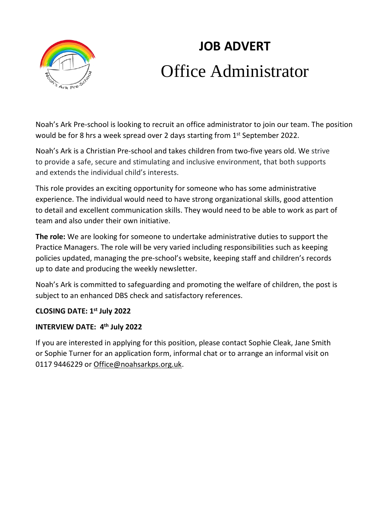

# **JOB ADVERT** Office Administrator

Noah's Ark Pre-school is looking to recruit an office administrator to join our team. The position would be for 8 hrs a week spread over 2 days starting from 1<sup>st</sup> September 2022.

Noah's Ark is a Christian Pre-school and takes children from two-five years old. We strive to provide a safe, secure and stimulating and inclusive environment, that both supports and extends the individual child's interests.

This role provides an exciting opportunity for someone who has some administrative experience. The individual would need to have strong organizational skills, good attention to detail and excellent communication skills. They would need to be able to work as part of team and also under their own initiative.

**The role:** We are looking for someone to undertake administrative duties to support the Practice Managers. The role will be very varied including responsibilities such as keeping policies updated, managing the pre-school's website, keeping staff and children's records up to date and producing the weekly newsletter.

Noah's Ark is committed to safeguarding and promoting the welfare of children, the post is subject to an enhanced DBS check and satisfactory references.

## **CLOSING DATE: 1 st July 2022**

## **INTERVIEW DATE: 4 th July 2022**

If you are interested in applying for this position, please contact Sophie Cleak, Jane Smith or Sophie Turner for an application form, informal chat or to arrange an informal visit on 0117 9446229 or [Office@noahsarkps.org.uk.](mailto:Office@noahsarkps.org.uk)